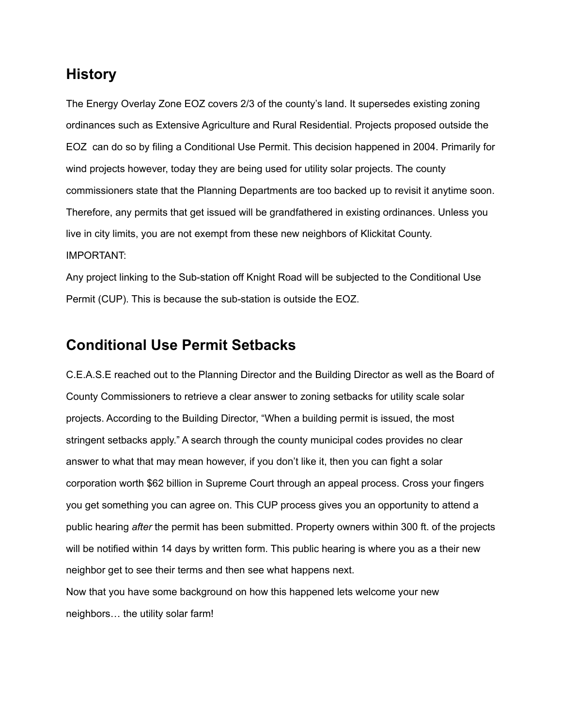## **History**

The Energy Overlay Zone EOZ covers 2/3 of the county's land. It supersedes existing zoning ordinances such as Extensive Agriculture and Rural Residential. Projects proposed outside the EOZ can do so by filing a Conditional Use Permit. This decision happened in 2004. Primarily for wind projects however, today they are being used for utility solar projects. The county commissioners state that the Planning Departments are too backed up to revisit it anytime soon. Therefore, any permits that get issued will be grandfathered in existing ordinances. Unless you live in city limits, you are not exempt from these new neighbors of Klickitat County. IMPORTANT:

Any project linking to the Sub-station off Knight Road will be subjected to the Conditional Use Permit (CUP). This is because the sub-station is outside the EOZ.

### **Conditional Use Permit Setbacks**

C.E.A.S.E reached out to the Planning Director and the Building Director as well as the Board of County Commissioners to retrieve a clear answer to zoning setbacks for utility scale solar projects. According to the Building Director, "When a building permit is issued, the most stringent setbacks apply." A search through the county municipal codes provides no clear answer to what that may mean however, if you don't like it, then you can fight a solar corporation worth \$62 billion in Supreme Court through an appeal process. Cross your fingers you get something you can agree on. This CUP process gives you an opportunity to attend a public hearing *after* the permit has been submitted. Property owners within 300 ft. of the projects will be notified within 14 days by written form. This public hearing is where you as a their new neighbor get to see their terms and then see what happens next.

Now that you have some background on how this happened lets welcome your new neighbors… the utility solar farm!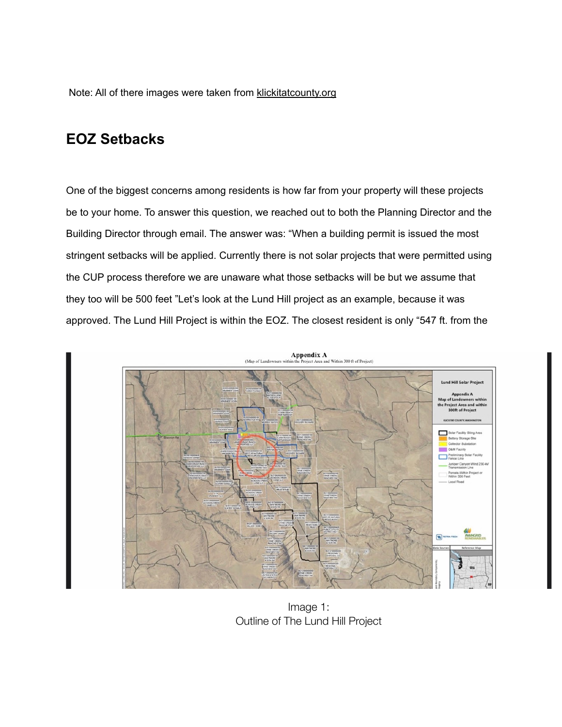Note: All of there images were taken from [klickitatcounty.org](http://klickitatcounty.org)

# **EOZ Setbacks**

One of the biggest concerns among residents is how far from your property will these projects be to your home. To answer this question, we reached out to both the Planning Director and the Building Director through email. The answer was: "When a building permit is issued the most stringent setbacks will be applied. Currently there is not solar projects that were permitted using the CUP process therefore we are unaware what those setbacks will be but we assume that they too will be 500 feet "Let's look at the Lund Hill project as an example, because it was approved. The Lund Hill Project is within the EOZ. The closest resident is only "547 ft. from the



Image 1: Outline of The Lund Hill Project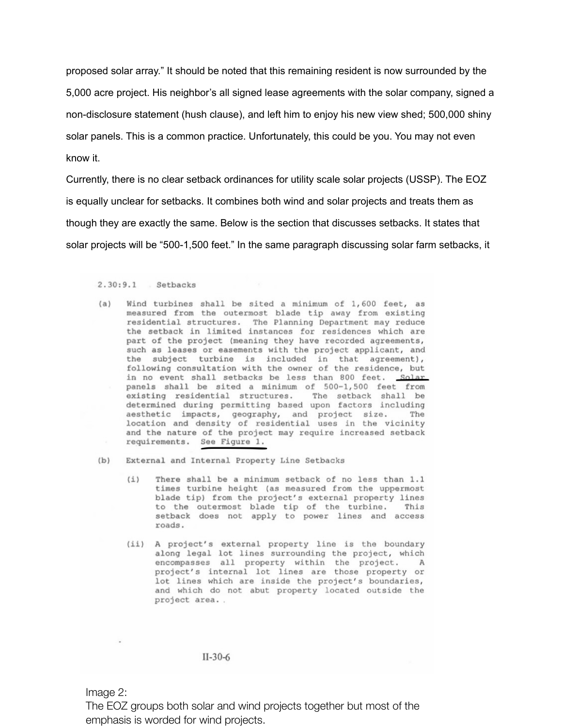proposed solar array." It should be noted that this remaining resident is now surrounded by the 5,000 acre project. His neighbor's all signed lease agreements with the solar company, signed a non-disclosure statement (hush clause), and left him to enjoy his new view shed; 500,000 shiny solar panels. This is a common practice. Unfortunately, this could be you. You may not even know it.

Currently, there is no clear setback ordinances for utility scale solar projects (USSP). The EOZ is equally unclear for setbacks. It combines both wind and solar projects and treats them as though they are exactly the same. Below is the section that discusses setbacks. It states that solar projects will be "500-1,500 feet." In the same paragraph discussing solar farm setbacks, it

#### $2.30:9.1$  Setbacks

- (a) Wind turbines shall be sited a minimum of 1,600 feet, as measured from the outermost blade tip away from existing residential structures. The Planning Department may reduce the setback in limited instances for residences which are part of the project (meaning they have recorded agreements, such as leases or easements with the project applicant, and the subject turbine is included in that agreement), following consultation with the owner of the residence, but in no event shall setbacks be less than 800 feet. Solar panels shall be sited a minimum of 500-1,500 feet from existing residential structures. The setback shall be determined during permitting based upon factors including aesthetic impacts, geography, and project size. The location and density of residential uses in the vicinity and the nature of the project may require increased setback requirements. See Figure 1.
- $(b)$ External and Internal Property Line Setbacks
	- $(i)$ There shall be a minimum setback of no less than 1.1 times turbine height (as measured from the uppermost blade tip) from the project's external property lines to the outermost blade tip of the turbine. This setback does not apply to power lines and access roads.
	- (ii) A project's external property line is the boundary along legal lot lines surrounding the project, which encompasses all property within the project. A<br>project's internal lot lines are those property or lot lines which are inside the project's boundaries, and which do not abut property located outside the project area..

#### $II-30-6$

Image 2:

The EOZ groups both solar and wind projects together but most of the emphasis is worded for wind projects.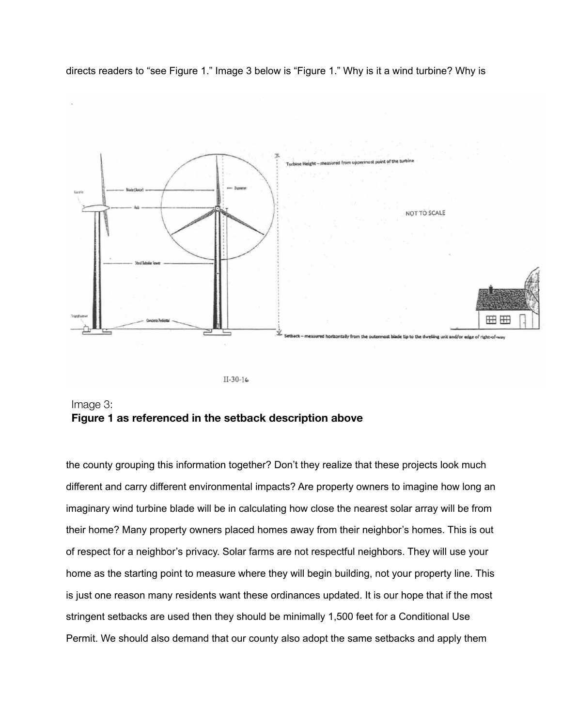



Image 3: **Figure 1 as referenced in the setback description above**

the county grouping this information together? Don't they realize that these projects look much different and carry different environmental impacts? Are property owners to imagine how long an imaginary wind turbine blade will be in calculating how close the nearest solar array will be from their home? Many property owners placed homes away from their neighbor's homes. This is out of respect for a neighbor's privacy. Solar farms are not respectful neighbors. They will use your home as the starting point to measure where they will begin building, not your property line. This is just one reason many residents want these ordinances updated. It is our hope that if the most stringent setbacks are used then they should be minimally 1,500 feet for a Conditional Use Permit. We should also demand that our county also adopt the same setbacks and apply them